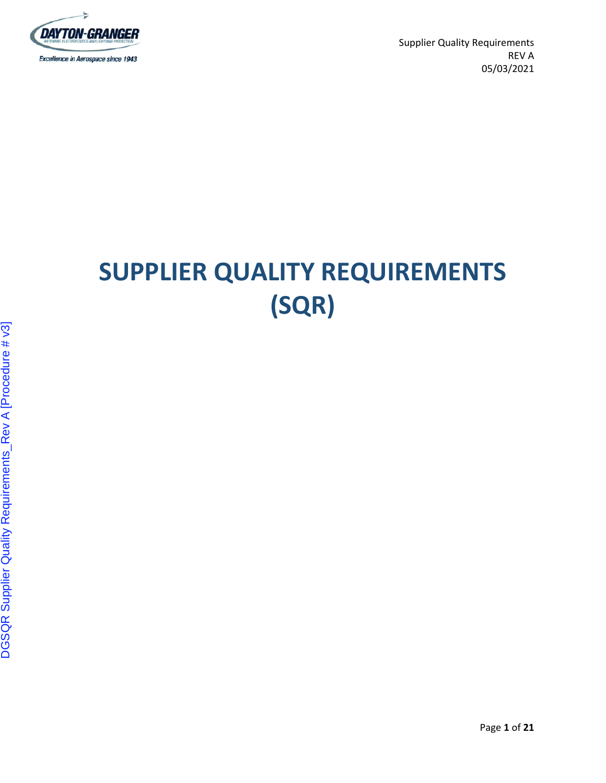

# **SUPPLIER QUALITY REQUIREMENTS (SQR)**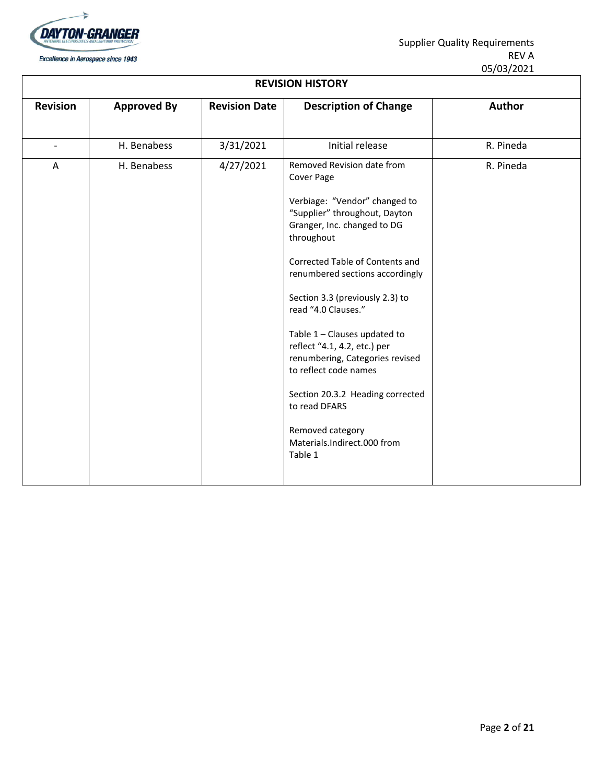

| <b>REVISION HISTORY</b> |                    |                      |                                                                                                                                                                                                                                                                                                                                                                                                                                                                                                                                        |               |  |  |
|-------------------------|--------------------|----------------------|----------------------------------------------------------------------------------------------------------------------------------------------------------------------------------------------------------------------------------------------------------------------------------------------------------------------------------------------------------------------------------------------------------------------------------------------------------------------------------------------------------------------------------------|---------------|--|--|
| <b>Revision</b>         | <b>Approved By</b> | <b>Revision Date</b> | <b>Description of Change</b>                                                                                                                                                                                                                                                                                                                                                                                                                                                                                                           | <b>Author</b> |  |  |
|                         | H. Benabess        | 3/31/2021            | Initial release                                                                                                                                                                                                                                                                                                                                                                                                                                                                                                                        | R. Pineda     |  |  |
| A                       | H. Benabess        | 4/27/2021            | Removed Revision date from<br>Cover Page<br>Verbiage: "Vendor" changed to<br>"Supplier" throughout, Dayton<br>Granger, Inc. changed to DG<br>throughout<br>Corrected Table of Contents and<br>renumbered sections accordingly<br>Section 3.3 (previously 2.3) to<br>read "4.0 Clauses."<br>Table 1 - Clauses updated to<br>reflect "4.1, 4.2, etc.) per<br>renumbering, Categories revised<br>to reflect code names<br>Section 20.3.2 Heading corrected<br>to read DFARS<br>Removed category<br>Materials.Indirect.000 from<br>Table 1 | R. Pineda     |  |  |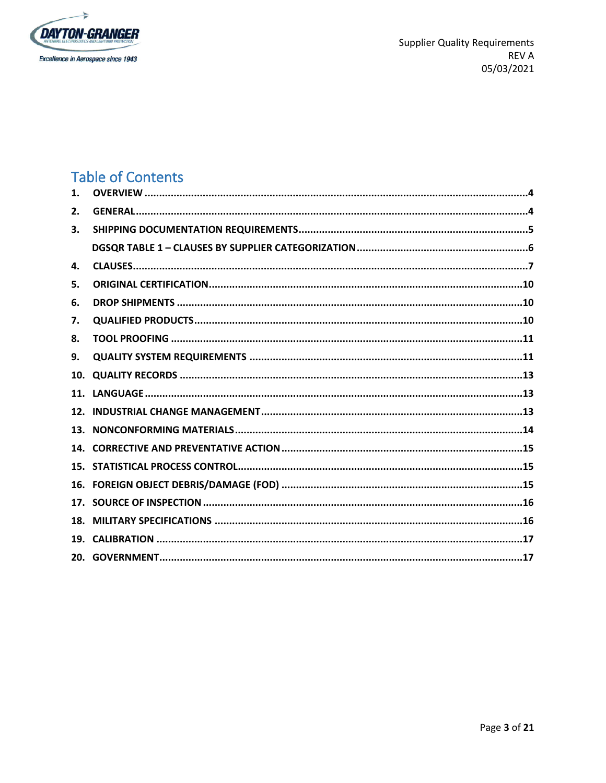

# **Table of Contents**

| $\mathbf{1}$ . |  |
|----------------|--|
| 2.             |  |
| 3.             |  |
|                |  |
| 4.             |  |
| 5.             |  |
| 6.             |  |
| 7.             |  |
| 8.             |  |
| 9.             |  |
| 10.            |  |
| 11.            |  |
| 12.            |  |
| 13.            |  |
|                |  |
|                |  |
|                |  |
|                |  |
| 18.            |  |
|                |  |
|                |  |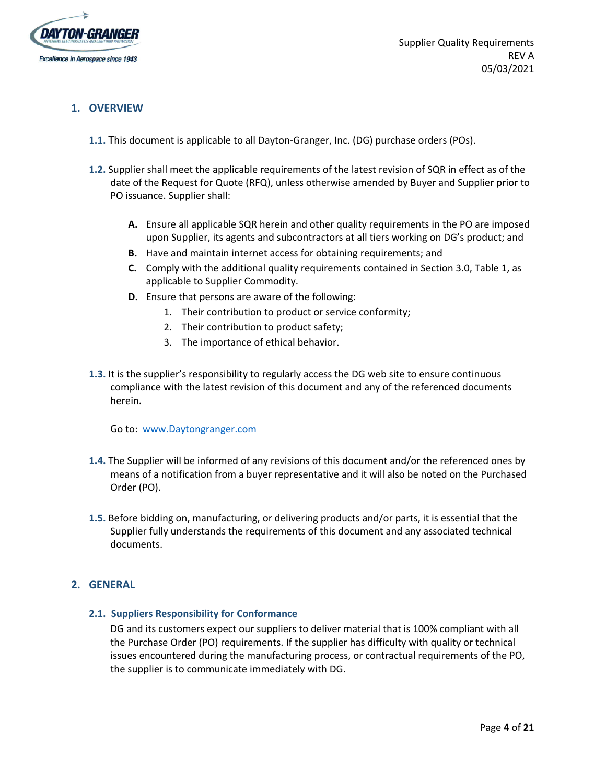

# <span id="page-3-0"></span>**1. OVERVIEW**

- **1.1.** This document is applicable to all Dayton-Granger, Inc. (DG) purchase orders (POs).
- **1.2.** Supplier shall meet the applicable requirements of the latest revision of SQR in effect as of the date of the Request for Quote (RFQ), unless otherwise amended by Buyer and Supplier prior to PO issuance. Supplier shall:
	- **A.** Ensure all applicable SQR herein and other quality requirements in the PO are imposed upon Supplier, its agents and subcontractors at all tiers working on DG's product; and
	- **B.** Have and maintain internet access for obtaining requirements; and
	- **C.** Comply with the additional quality requirements contained in Section 3.0, Table 1, as applicable to Supplier Commodity.
	- **D.** Ensure that persons are aware of the following:
		- 1. Their contribution to product or service conformity;
		- 2. Their contribution to product safety;
		- 3. The importance of ethical behavior.
- **1.3.** It is the supplier's responsibility to regularly access the DG web site to ensure continuous compliance with the latest revision of this document and any of the referenced documents herein.

Go to: [www.Daytongranger.com](http://www.daytongranger.com/)

- **1.4.** The Supplier will be informed of any revisions of this document and/or the referenced ones by means of a notification from a buyer representative and it will also be noted on the Purchased Order (PO).
- **1.5.** Before bidding on, manufacturing, or delivering products and/or parts, it is essential that the Supplier fully understands the requirements of this document and any associated technical documents.

#### <span id="page-3-1"></span>**2. GENERAL**

#### **2.1. Suppliers Responsibility for Conformance**

DG and its customers expect our suppliers to deliver material that is 100% compliant with all the Purchase Order (PO) requirements. If the supplier has difficulty with quality or technical issues encountered during the manufacturing process, or contractual requirements of the PO, the supplier is to communicate immediately with DG.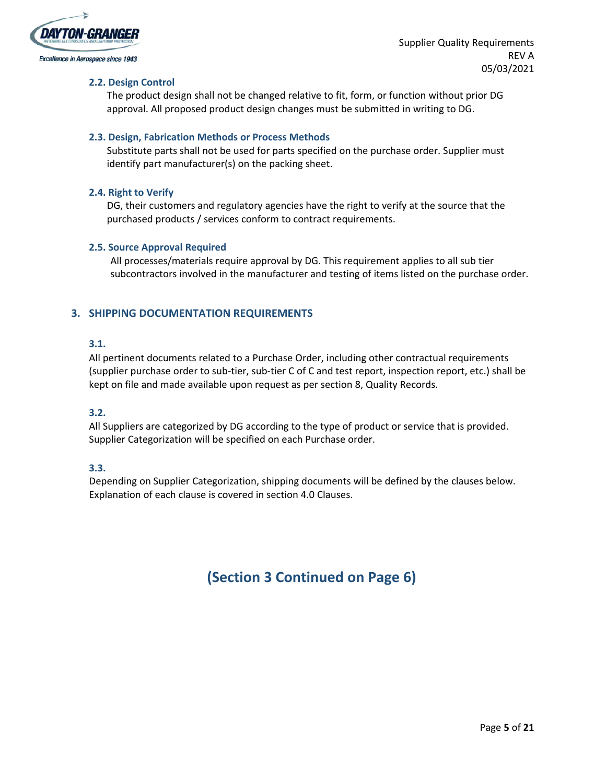

#### **2.2. Design Control**

The product design shall not be changed relative to fit, form, or function without prior DG approval. All proposed product design changes must be submitted in writing to DG.

#### **2.3. Design, Fabrication Methods or Process Methods**

Substitute parts shall not be used for parts specified on the purchase order. Supplier must identify part manufacturer(s) on the packing sheet.

#### **2.4. Right to Verify**

DG, their customers and regulatory agencies have the right to verify at the source that the purchased products / services conform to contract requirements.

#### **2.5. Source Approval Required**

All processes/materials require approval by DG. This requirement applies to all sub tier subcontractors involved in the manufacturer and testing of items listed on the purchase order.

# <span id="page-4-0"></span>**3. SHIPPING DOCUMENTATION REQUIREMENTS**

#### **3.1.**

All pertinent documents related to a Purchase Order, including other contractual requirements (supplier purchase order to sub-tier, sub-tier C of C and test report, inspection report, etc.) shall be kept on file and made available upon request as per section 8, Quality Records.

#### **3.2.**

All Suppliers are categorized by DG according to the type of product or service that is provided. Supplier Categorization will be specified on each Purchase order.

#### **3.3.**

Depending on Supplier Categorization, shipping documents will be defined by the clauses below. Explanation of each clause is covered in section 4.0 Clauses.

# **(Section 3 Continued on Page 6)**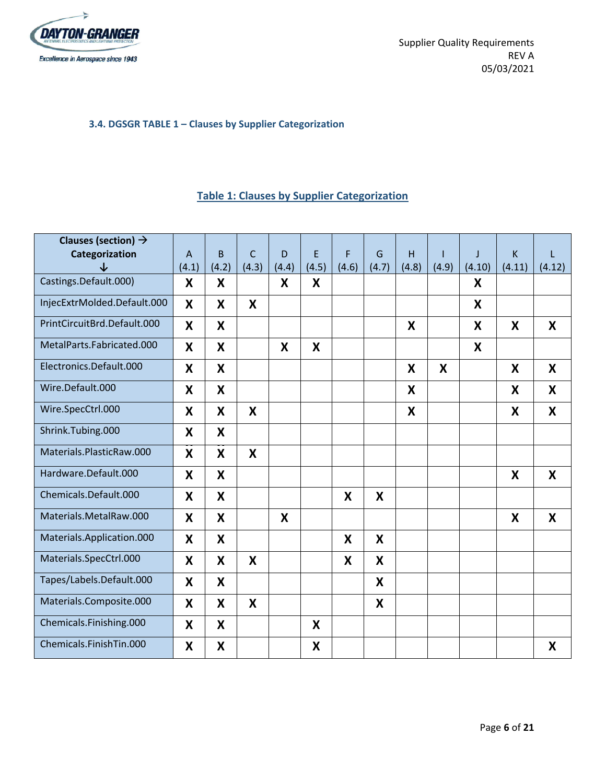

# <span id="page-5-0"></span>**3.4. DGSGR TABLE 1 – Clauses by Supplier Categorization**

# **Table 1: Clauses by Supplier Categorization**

| Clauses (section) $\rightarrow$ |                |       |              |                           |       |       |       |                |       |        |                  |        |
|---------------------------------|----------------|-------|--------------|---------------------------|-------|-------|-------|----------------|-------|--------|------------------|--------|
| Categorization                  | $\overline{A}$ | B.    | $\mathsf{C}$ | D                         | E     | F     | G     | $\overline{H}$ |       | J      | $\sf K$          | L      |
| $\downarrow$                    | (4.1)          | (4.2) | (4.3)        | (4.4)                     | (4.5) | (4.6) | (4.7) | (4.8)          | (4.9) | (4.10) | (4.11)           | (4.12) |
| Castings.Default.000)           | X              | X     |              | X                         | X     |       |       |                |       | X      |                  |        |
| InjecExtrMolded.Default.000     | X              | X     | X            |                           |       |       |       |                |       | X      |                  |        |
| PrintCircuitBrd.Default.000     | X              | X     |              |                           |       |       |       | X              |       | X      | $\boldsymbol{X}$ | X      |
| MetalParts.Fabricated.000       | X              | X     |              | X                         | X     |       |       |                |       | X      |                  |        |
| Electronics.Default.000         | X              | X     |              |                           |       |       |       | X              | X     |        | X                | X      |
| Wire.Default.000                | X              | X     |              |                           |       |       |       | X              |       |        | X                | X      |
| Wire.SpecCtrl.000               | X              | X     | X            |                           |       |       |       | X              |       |        | X                | X      |
| Shrink.Tubing.000               | X              | X     |              |                           |       |       |       |                |       |        |                  |        |
| Materials.PlasticRaw.000        | X              | X     | X            |                           |       |       |       |                |       |        |                  |        |
| Hardware.Default.000            | X              | X     |              |                           |       |       |       |                |       |        | X                | X      |
| Chemicals.Default.000           | X              | X     |              |                           |       | X     | X     |                |       |        |                  |        |
| Materials.MetalRaw.000          | X              | X     |              | $\boldsymbol{\mathsf{X}}$ |       |       |       |                |       |        | X                | X      |
| Materials.Application.000       | X              | X     |              |                           |       | X     | X     |                |       |        |                  |        |
| Materials.SpecCtrl.000          | X              | X     | X            |                           |       | X     | X     |                |       |        |                  |        |
| Tapes/Labels.Default.000        | X              | X     |              |                           |       |       | X     |                |       |        |                  |        |
| Materials.Composite.000         | X              | X     | X            |                           |       |       | X     |                |       |        |                  |        |
| Chemicals.Finishing.000         | X              | X     |              |                           | X     |       |       |                |       |        |                  |        |
| Chemicals.FinishTin.000         | X              | X     |              |                           | X     |       |       |                |       |        |                  | X      |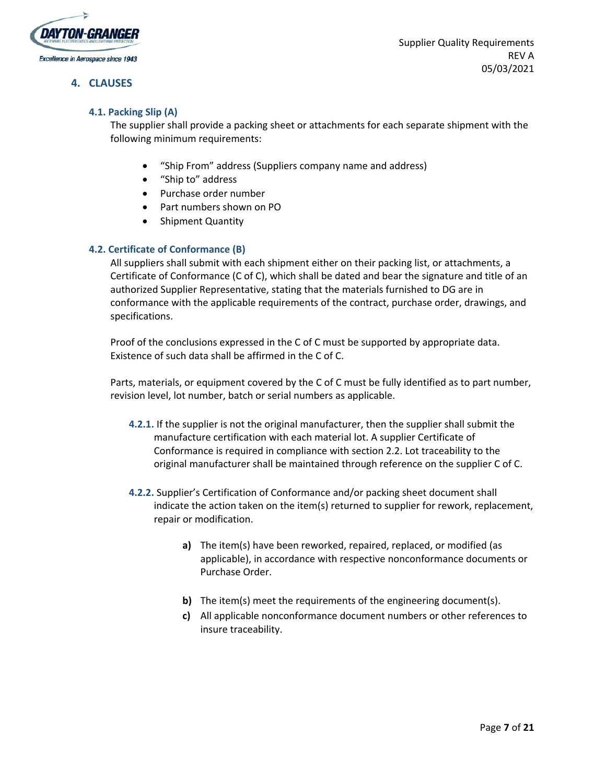

#### <span id="page-6-0"></span>**4. CLAUSES**

## **4.1. Packing Slip (A)**

The supplier shall provide a packing sheet or attachments for each separate shipment with the following minimum requirements:

- "Ship From" address (Suppliers company name and address)
- "Ship to" address
- Purchase order number
- Part numbers shown on PO
- Shipment Quantity

#### **4.2. Certificate of Conformance (B)**

All suppliers shall submit with each shipment either on their packing list, or attachments, a Certificate of Conformance (C of C), which shall be dated and bear the signature and title of an authorized Supplier Representative, stating that the materials furnished to DG are in conformance with the applicable requirements of the contract, purchase order, drawings, and specifications.

Proof of the conclusions expressed in the C of C must be supported by appropriate data. Existence of such data shall be affirmed in the C of C.

Parts, materials, or equipment covered by the C of C must be fully identified as to part number, revision level, lot number, batch or serial numbers as applicable.

- **4.2.1.** If the supplier is not the original manufacturer, then the supplier shall submit the manufacture certification with each material lot. A supplier Certificate of Conformance is required in compliance with section 2.2. Lot traceability to the original manufacturer shall be maintained through reference on the supplier C of C.
- **4.2.2.** Supplier's Certification of Conformance and/or packing sheet document shall indicate the action taken on the item(s) returned to supplier for rework, replacement, repair or modification.
	- **a)** The item(s) have been reworked, repaired, replaced, or modified (as applicable), in accordance with respective nonconformance documents or Purchase Order.
	- **b)** The item(s) meet the requirements of the engineering document(s).
	- **c)** All applicable nonconformance document numbers or other references to insure traceability.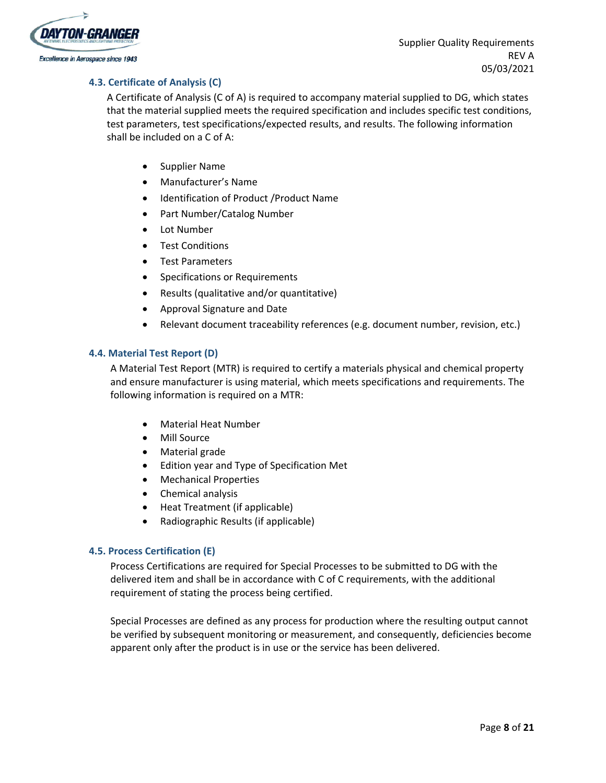

#### **4.3. Certificate of Analysis (C)**

A Certificate of Analysis (C of A) is required to accompany material supplied to DG, which states that the material supplied meets the required specification and includes specific test conditions, test parameters, test specifications/expected results, and results. The following information shall be included on a C of A:

- Supplier Name
- Manufacturer's Name
- Identification of Product /Product Name
- Part Number/Catalog Number
- Lot Number
- **•** Test Conditions
- Test Parameters
- Specifications or Requirements
- Results (qualitative and/or quantitative)
- Approval Signature and Date
- Relevant document traceability references (e.g. document number, revision, etc.)

#### **4.4. Material Test Report (D)**

A Material Test Report (MTR) is required to certify a materials physical and chemical property and ensure manufacturer is using material, which meets specifications and requirements. The following information is required on a MTR:

- Material Heat Number
- Mill Source
- Material grade
- Edition year and Type of Specification Met
- Mechanical Properties
- Chemical analysis
- Heat Treatment (if applicable)
- Radiographic Results (if applicable)

#### **4.5. Process Certification (E)**

Process Certifications are required for Special Processes to be submitted to DG with the delivered item and shall be in accordance with C of C requirements, with the additional requirement of stating the process being certified.

Special Processes are defined as any process for production where the resulting output cannot be verified by subsequent monitoring or measurement, and consequently, deficiencies become apparent only after the product is in use or the service has been delivered.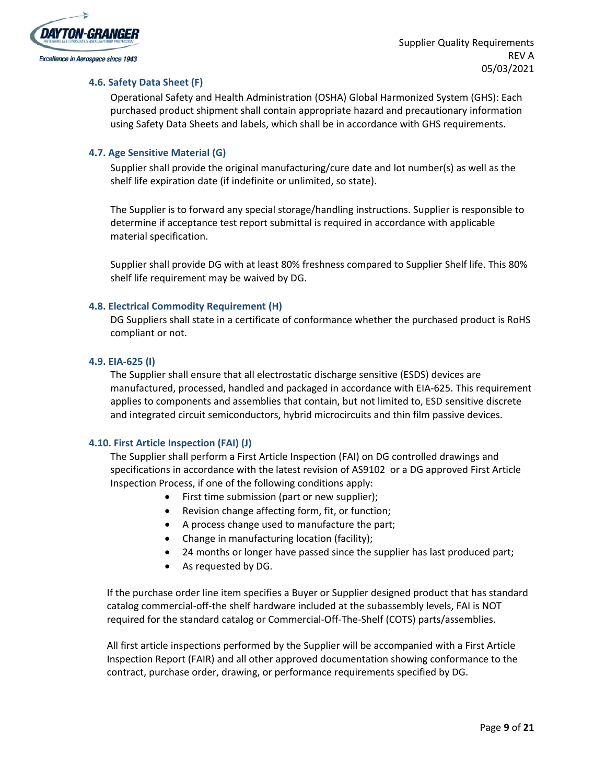

#### **4.6. Safety Data Sheet (F)**

Operational Safety and Health Administration (OSHA) Global Harmonized System (GHS): Each purchased product shipment shall contain appropriate hazard and precautionary information using Safety Data Sheets and labels, which shall be in accordance with GHS requirements.

#### **4.7. Age Sensitive Material (G)**

Supplier shall provide the original manufacturing/cure date and lot number(s) as well as the shelf life expiration date (if indefinite or unlimited, so state).

The Supplier is to forward any special storage/handling instructions. Supplier is responsible to determine if acceptance test report submittal is required in accordance with applicable material specification.

Supplier shall provide DG with at least 80% freshness compared to Supplier Shelf life. This 80% shelf life requirement may be waived by DG.

#### **4.8. Electrical Commodity Requirement (H)**

DG Suppliers shall state in a certificate of conformance whether the purchased product is RoHS compliant or not.

#### **4.9. EIA-625 (I)**

The Supplier shall ensure that all electrostatic discharge sensitive (ESDS) devices are manufactured, processed, handled and packaged in accordance with EIA-625. This requirement applies to components and assemblies that contain, but not limited to, ESD sensitive discrete and integrated circuit semiconductors, hybrid microcircuits and thin film passive devices.

#### **4.10. First Article Inspection (FAI) (J)**

The Supplier shall perform a First Article Inspection (FAI) on DG controlled drawings and specifications in accordance with the latest revision of AS9102 or a DG approved First Article Inspection Process, if one of the following conditions apply:

- First time submission (part or new supplier);
- Revision change affecting form, fit, or function;
- A process change used to manufacture the part;
- Change in manufacturing location (facility);
- 24 months or longer have passed since the supplier has last produced part;
- As requested by DG.

If the purchase order line item specifies a Buyer or Supplier designed product that has standard catalog commercial-off-the shelf hardware included at the subassembly levels, FAI is NOT required for the standard catalog or Commercial-Off-The-Shelf (COTS) parts/assemblies.

All first article inspections performed by the Supplier will be accompanied with a First Article Inspection Report (FAIR) and all other approved documentation showing conformance to the contract, purchase order, drawing, or performance requirements specified by DG.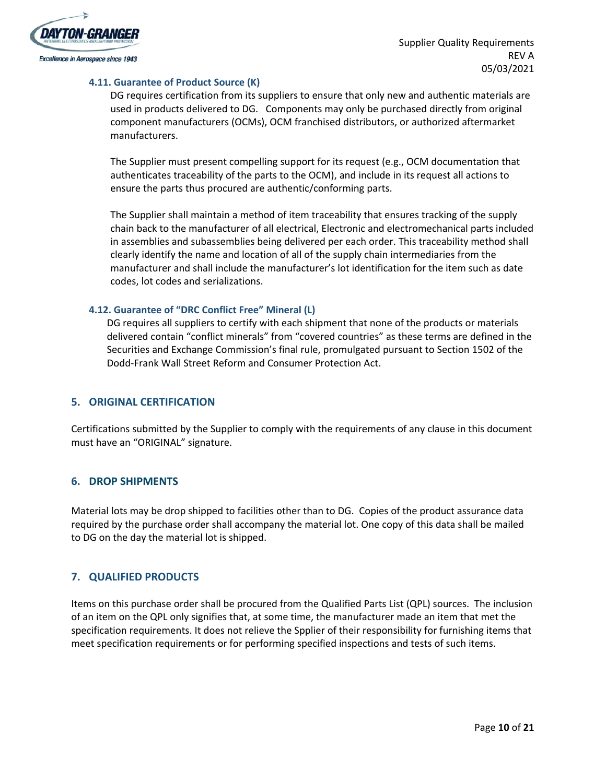

#### **4.11. Guarantee of Product Source (K)**

DG requires certification from its suppliers to ensure that only new and authentic materials are used in products delivered to DG. Components may only be purchased directly from original component manufacturers (OCMs), OCM franchised distributors, or authorized aftermarket manufacturers.

The Supplier must present compelling support for its request (e.g., OCM documentation that authenticates traceability of the parts to the OCM), and include in its request all actions to ensure the parts thus procured are authentic/conforming parts.

The Supplier shall maintain a method of item traceability that ensures tracking of the supply chain back to the manufacturer of all electrical, Electronic and electromechanical parts included in assemblies and subassemblies being delivered per each order. This traceability method shall clearly identify the name and location of all of the supply chain intermediaries from the manufacturer and shall include the manufacturer's lot identification for the item such as date codes, lot codes and serializations.

#### **4.12. Guarantee of "DRC Conflict Free" Mineral (L)**

DG requires all suppliers to certify with each shipment that none of the products or materials delivered contain "conflict minerals" from "covered countries" as these terms are defined in the Securities and Exchange Commission's final rule, promulgated pursuant to Section 1502 of the Dodd-Frank Wall Street Reform and Consumer Protection Act.

#### <span id="page-9-0"></span>**5. ORIGINAL CERTIFICATION**

Certifications submitted by the Supplier to comply with the requirements of any clause in this document must have an "ORIGINAL" signature.

#### <span id="page-9-1"></span>**6. DROP SHIPMENTS**

Material lots may be drop shipped to facilities other than to DG. Copies of the product assurance data required by the purchase order shall accompany the material lot. One copy of this data shall be mailed to DG on the day the material lot is shipped.

#### <span id="page-9-2"></span>**7. QUALIFIED PRODUCTS**

Items on this purchase order shall be procured from the Qualified Parts List (QPL) sources. The inclusion of an item on the QPL only signifies that, at some time, the manufacturer made an item that met the specification requirements. It does not relieve the Spplier of their responsibility for furnishing items that meet specification requirements or for performing specified inspections and tests of such items.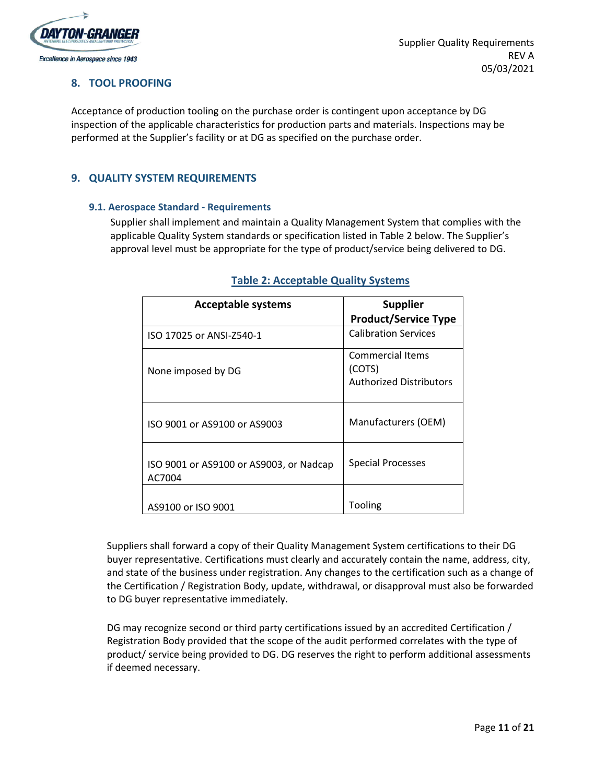

## <span id="page-10-0"></span>**8. TOOL PROOFING**

Acceptance of production tooling on the purchase order is contingent upon acceptance by DG inspection of the applicable characteristics for production parts and materials. Inspections may be performed at the Supplier's facility or at DG as specified on the purchase order.

# <span id="page-10-1"></span>**9. QUALITY SYSTEM REQUIREMENTS**

#### **9.1. Aerospace Standard - Requirements**

Supplier shall implement and maintain a Quality Management System that complies with the applicable Quality System standards or specification listed in Table 2 below. The Supplier's approval level must be appropriate for the type of product/service being delivered to DG.

| <b>Acceptable systems</b>                         | <b>Supplier</b><br><b>Product/Service Type</b>               |
|---------------------------------------------------|--------------------------------------------------------------|
| ISO 17025 or ANSI-Z540-1                          | <b>Calibration Services</b>                                  |
| None imposed by DG                                | Commercial Items<br>(COTS)<br><b>Authorized Distributors</b> |
| ISO 9001 or AS9100 or AS9003                      | Manufacturers (OEM)                                          |
| ISO 9001 or AS9100 or AS9003, or Nadcap<br>AC7004 | <b>Special Processes</b>                                     |
| AS9100 or ISO 9001                                | Tooling                                                      |

# **Table 2: Acceptable Quality Systems**

Suppliers shall forward a copy of their Quality Management System certifications to their DG buyer representative. Certifications must clearly and accurately contain the name, address, city, and state of the business under registration. Any changes to the certification such as a change of the Certification / Registration Body, update, withdrawal, or disapproval must also be forwarded to DG buyer representative immediately.

DG may recognize second or third party certifications issued by an accredited Certification / Registration Body provided that the scope of the audit performed correlates with the type of product/ service being provided to DG. DG reserves the right to perform additional assessments if deemed necessary.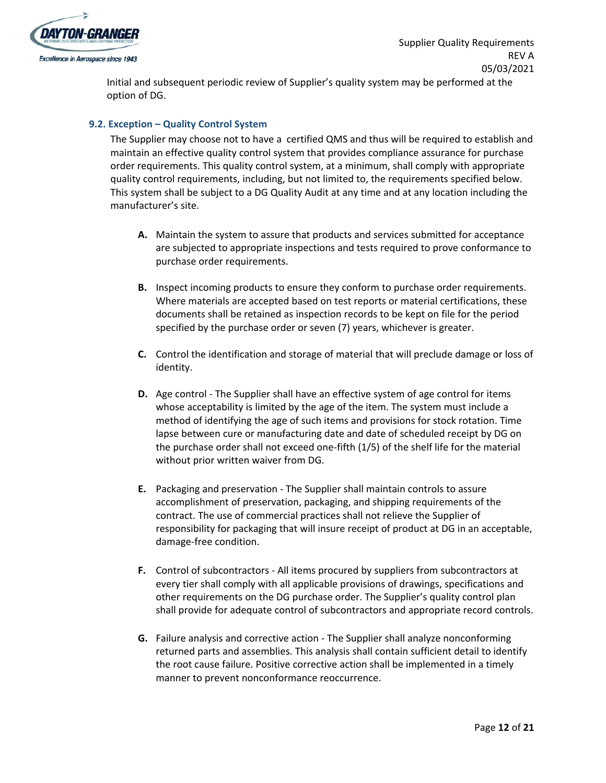

Initial and subsequent periodic review of Supplier's quality system may be performed at the option of DG.

#### **9.2. Exception – Quality Control System**

The Supplier may choose not to have a certified QMS and thus will be required to establish and maintain an effective quality control system that provides compliance assurance for purchase order requirements. This quality control system, at a minimum, shall comply with appropriate quality control requirements, including, but not limited to, the requirements specified below. This system shall be subject to a DG Quality Audit at any time and at any location including the manufacturer's site.

- **A.** Maintain the system to assure that products and services submitted for acceptance are subjected to appropriate inspections and tests required to prove conformance to purchase order requirements.
- **B.** Inspect incoming products to ensure they conform to purchase order requirements. Where materials are accepted based on test reports or material certifications, these documents shall be retained as inspection records to be kept on file for the period specified by the purchase order or seven (7) years, whichever is greater.
- **C.** Control the identification and storage of material that will preclude damage or loss of identity.
- **D.** Age control The Supplier shall have an effective system of age control for items whose acceptability is limited by the age of the item. The system must include a method of identifying the age of such items and provisions for stock rotation. Time lapse between cure or manufacturing date and date of scheduled receipt by DG on the purchase order shall not exceed one-fifth (1/5) of the shelf life for the material without prior written waiver from DG.
- **E.** Packaging and preservation The Supplier shall maintain controls to assure accomplishment of preservation, packaging, and shipping requirements of the contract. The use of commercial practices shall not relieve the Supplier of responsibility for packaging that will insure receipt of product at DG in an acceptable, damage-free condition.
- **F.** Control of subcontractors All items procured by suppliers from subcontractors at every tier shall comply with all applicable provisions of drawings, specifications and other requirements on the DG purchase order. The Supplier's quality control plan shall provide for adequate control of subcontractors and appropriate record controls.
- **G.** Failure analysis and corrective action The Supplier shall analyze nonconforming returned parts and assemblies. This analysis shall contain sufficient detail to identify the root cause failure. Positive corrective action shall be implemented in a timely manner to prevent nonconformance reoccurrence.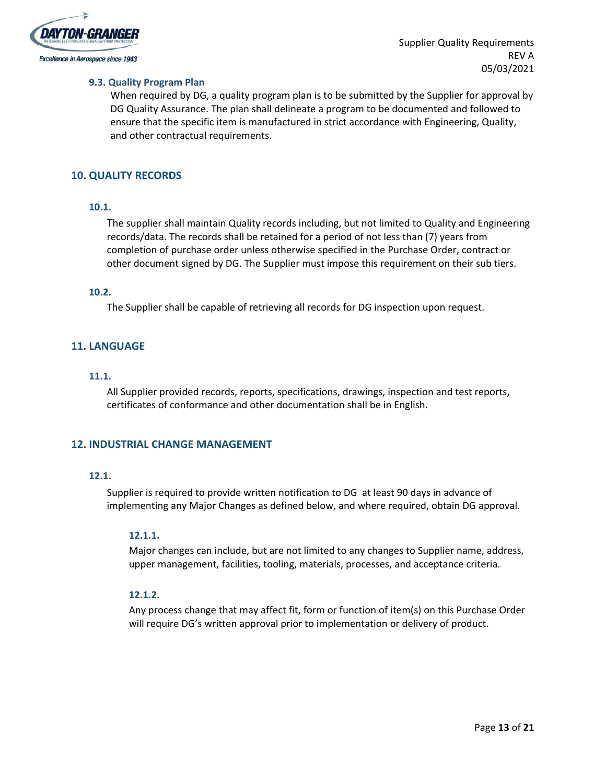

#### **9.3. Quality Program Plan**

When required by DG, a quality program plan is to be submitted by the Supplier for approval by DG Quality Assurance. The plan shall delineate a program to be documented and followed to ensure that the specific item is manufactured in strict accordance with Engineering, Quality, and other contractual requirements.

#### <span id="page-12-0"></span>**10. QUALITY RECORDS**

#### **10.1.**

The supplier shall maintain Quality records including, but not limited to Quality and Engineering records/data. The records shall be retained for a period of not less than (7) years from completion of purchase order unless otherwise specified in the Purchase Order, contract or other document signed by DG. The Supplier must impose this requirement on their sub tiers.

#### **10.2.**

The Supplier shall be capable of retrieving all records for DG inspection upon request.

#### <span id="page-12-1"></span>**11. LANGUAGE**

#### **11.1.**

All Supplier provided records, reports, specifications, drawings, inspection and test reports, certificates of conformance and other documentation shall be in English**.**

#### <span id="page-12-2"></span>**12. INDUSTRIAL CHANGE MANAGEMENT**

#### **12.1.**

Supplier is required to provide written notification to DG at least 90 days in advance of implementing any Major Changes as defined below, and where required, obtain DG approval.

#### **12.1.1.**

Major changes can include, but are not limited to any changes to Supplier name, address, upper management, facilities, tooling, materials, processes, and acceptance criteria.

#### **12.1.2.**

Any process change that may affect fit, form or function of item(s) on this Purchase Order will require DG's written approval prior to implementation or delivery of product.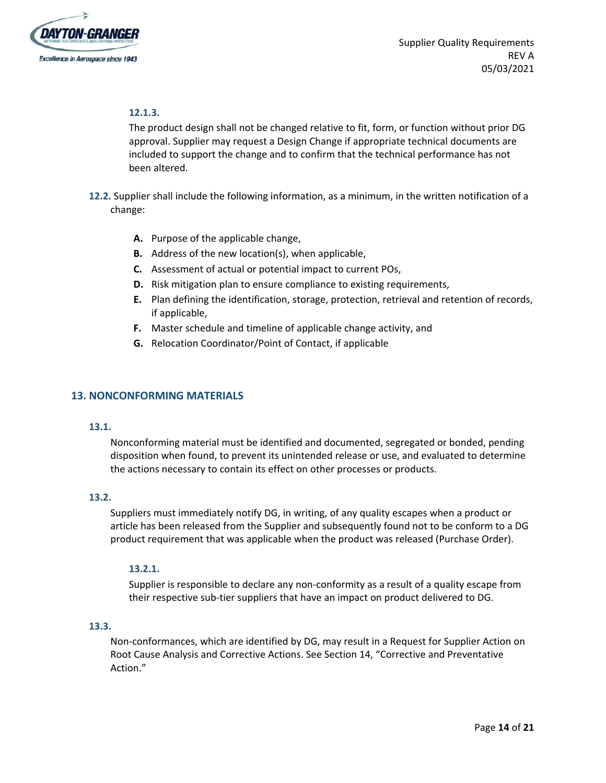

#### **12.1.3.**

The product design shall not be changed relative to fit, form, or function without prior DG approval. Supplier may request a Design Change if appropriate technical documents are included to support the change and to confirm that the technical performance has not been altered.

**12.2.** Supplier shall include the following information, as a minimum, in the written notification of a change:

- **A.** Purpose of the applicable change,
- **B.** Address of the new location(s), when applicable,
- **C.** Assessment of actual or potential impact to current POs,
- **D.** Risk mitigation plan to ensure compliance to existing requirements,
- **E.** Plan defining the identification, storage, protection, retrieval and retention of records, if applicable,
- **F.** Master schedule and timeline of applicable change activity, and
- **G.** Relocation Coordinator/Point of Contact, if applicable

#### <span id="page-13-0"></span>**13. NONCONFORMING MATERIALS**

#### **13.1.**

Nonconforming material must be identified and documented, segregated or bonded, pending disposition when found, to prevent its unintended release or use, and evaluated to determine the actions necessary to contain its effect on other processes or products.

#### **13.2.**

Suppliers must immediately notify DG, in writing, of any quality escapes when a product or article has been released from the Supplier and subsequently found not to be conform to a DG product requirement that was applicable when the product was released (Purchase Order).

#### **13.2.1.**

Supplier is responsible to declare any non-conformity as a result of a quality escape from their respective sub-tier suppliers that have an impact on product delivered to DG.

#### **13.3.**

Non-conformances, which are identified by DG, may result in a Request for Supplier Action on Root Cause Analysis and Corrective Actions. See Section 14, "Corrective and Preventative Action."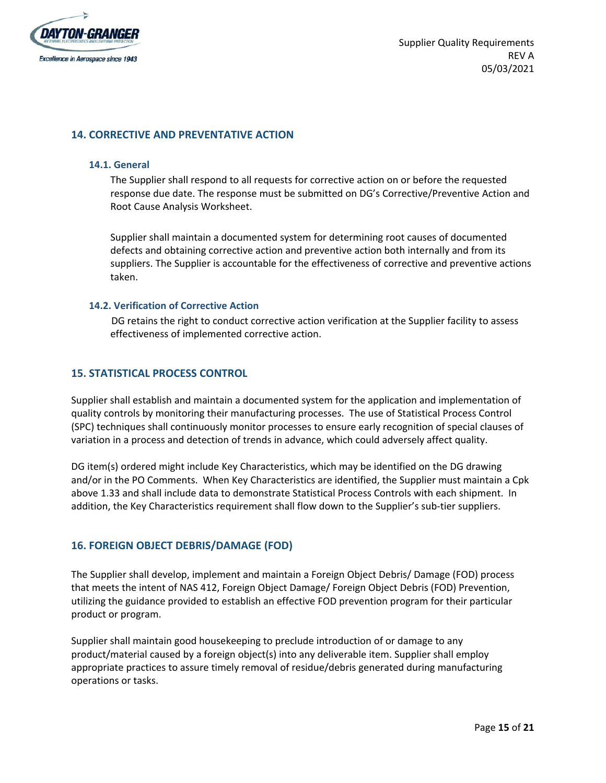

#### <span id="page-14-0"></span>**14. CORRECTIVE AND PREVENTATIVE ACTION**

#### **14.1. General**

The Supplier shall respond to all requests for corrective action on or before the requested response due date. The response must be submitted on DG's Corrective/Preventive Action and Root Cause Analysis Worksheet.

Supplier shall maintain a documented system for determining root causes of documented defects and obtaining corrective action and preventive action both internally and from its suppliers. The Supplier is accountable for the effectiveness of corrective and preventive actions taken.

#### **14.2. Verification of Corrective Action**

DG retains the right to conduct corrective action verification at the Supplier facility to assess effectiveness of implemented corrective action.

#### <span id="page-14-1"></span>**15. STATISTICAL PROCESS CONTROL**

Supplier shall establish and maintain a documented system for the application and implementation of quality controls by monitoring their manufacturing processes. The use of Statistical Process Control (SPC) techniques shall continuously monitor processes to ensure early recognition of special clauses of variation in a process and detection of trends in advance, which could adversely affect quality.

DG item(s) ordered might include Key Characteristics, which may be identified on the DG drawing and/or in the PO Comments. When Key Characteristics are identified, the Supplier must maintain a Cpk above 1.33 and shall include data to demonstrate Statistical Process Controls with each shipment. In addition, the Key Characteristics requirement shall flow down to the Supplier's sub-tier suppliers.

#### <span id="page-14-2"></span>**16. FOREIGN OBJECT DEBRIS/DAMAGE (FOD)**

The Supplier shall develop, implement and maintain a Foreign Object Debris/ Damage (FOD) process that meets the intent of NAS 412, Foreign Object Damage/ Foreign Object Debris (FOD) Prevention, utilizing the guidance provided to establish an effective FOD prevention program for their particular product or program.

Supplier shall maintain good housekeeping to preclude introduction of or damage to any product/material caused by a foreign object(s) into any deliverable item. Supplier shall employ appropriate practices to assure timely removal of residue/debris generated during manufacturing operations or tasks.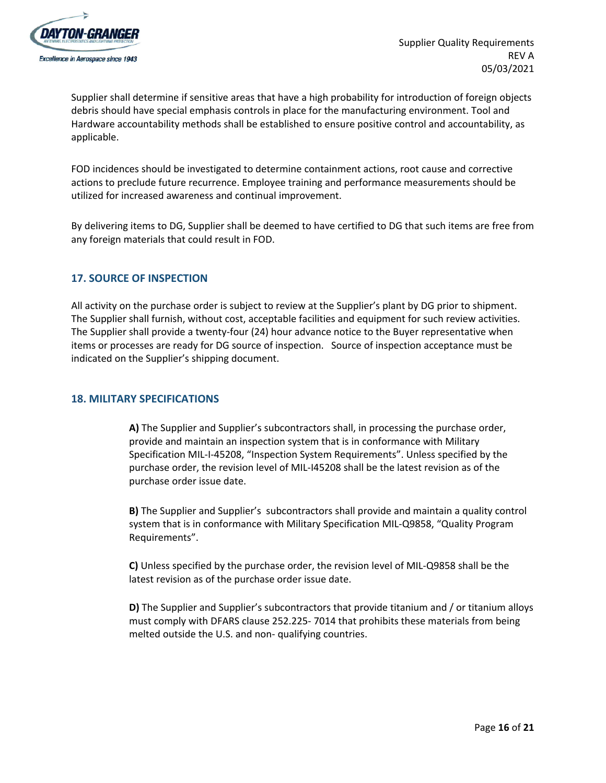

Supplier shall determine if sensitive areas that have a high probability for introduction of foreign objects debris should have special emphasis controls in place for the manufacturing environment. Tool and Hardware accountability methods shall be established to ensure positive control and accountability, as applicable.

FOD incidences should be investigated to determine containment actions, root cause and corrective actions to preclude future recurrence. Employee training and performance measurements should be utilized for increased awareness and continual improvement.

By delivering items to DG, Supplier shall be deemed to have certified to DG that such items are free from any foreign materials that could result in FOD.

# <span id="page-15-0"></span>**17. SOURCE OF INSPECTION**

All activity on the purchase order is subject to review at the Supplier's plant by DG prior to shipment. The Supplier shall furnish, without cost, acceptable facilities and equipment for such review activities. The Supplier shall provide a twenty-four (24) hour advance notice to the Buyer representative when items or processes are ready for DG source of inspection. Source of inspection acceptance must be indicated on the Supplier's shipping document.

#### <span id="page-15-1"></span>**18. MILITARY SPECIFICATIONS**

**A)** The Supplier and Supplier's subcontractors shall, in processing the purchase order, provide and maintain an inspection system that is in conformance with Military Specification MIL-I-45208, "Inspection System Requirements". Unless specified by the purchase order, the revision level of MIL-I45208 shall be the latest revision as of the purchase order issue date.

**B)** The Supplier and Supplier's subcontractors shall provide and maintain a quality control system that is in conformance with Military Specification MIL-Q9858, "Quality Program Requirements".

**C)** Unless specified by the purchase order, the revision level of MIL-Q9858 shall be the latest revision as of the purchase order issue date.

**D)** The Supplier and Supplier's subcontractors that provide titanium and / or titanium alloys must comply with DFARS clause 252.225- 7014 that prohibits these materials from being melted outside the U.S. and non- qualifying countries.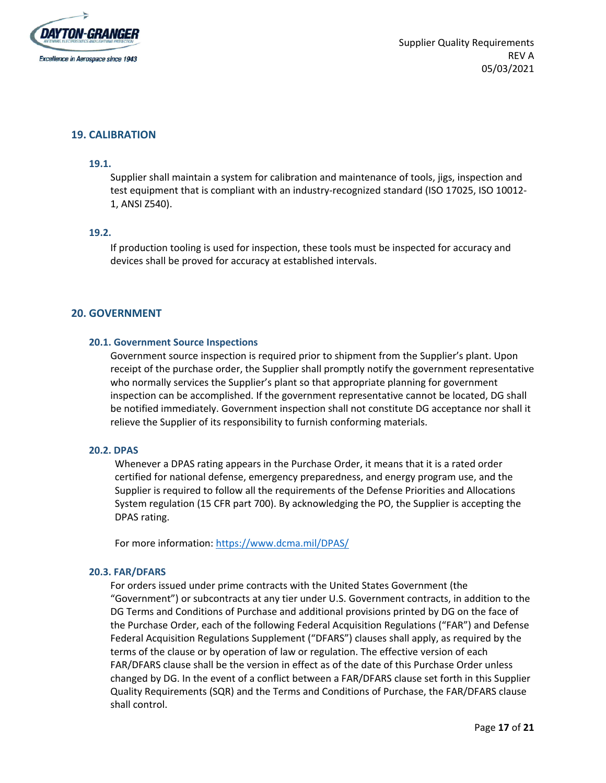

#### <span id="page-16-0"></span>**19. CALIBRATION**

#### **19.1.**

Supplier shall maintain a system for calibration and maintenance of tools, jigs, inspection and test equipment that is compliant with an industry-recognized standard (ISO 17025, ISO 10012- 1, ANSI Z540).

#### **19.2.**

If production tooling is used for inspection, these tools must be inspected for accuracy and devices shall be proved for accuracy at established intervals.

#### <span id="page-16-1"></span>**20. GOVERNMENT**

#### **20.1. Government Source Inspections**

Government source inspection is required prior to shipment from the Supplier's plant. Upon receipt of the purchase order, the Supplier shall promptly notify the government representative who normally services the Supplier's plant so that appropriate planning for government inspection can be accomplished. If the government representative cannot be located, DG shall be notified immediately. Government inspection shall not constitute DG acceptance nor shall it relieve the Supplier of its responsibility to furnish conforming materials.

#### **20.2. DPAS**

Whenever a DPAS rating appears in the Purchase Order, it means that it is a rated order certified for national defense, emergency preparedness, and energy program use, and the Supplier is required to follow all the requirements of the Defense Priorities and Allocations System regulation (15 CFR part 700). By acknowledging the PO, the Supplier is accepting the DPAS rating.

For more information: <https://www.dcma.mil/DPAS/>

#### **20.3. FAR/DFARS**

For orders issued under prime contracts with the United States Government (the "Government") or subcontracts at any tier under U.S. Government contracts, in addition to the DG Terms and Conditions of Purchase and additional provisions printed by DG on the face of the Purchase Order, each of the following Federal Acquisition Regulations ("FAR") and Defense Federal Acquisition Regulations Supplement ("DFARS") clauses shall apply, as required by the terms of the clause or by operation of law or regulation. The effective version of each FAR/DFARS clause shall be the version in effect as of the date of this Purchase Order unless changed by DG. In the event of a conflict between a FAR/DFARS clause set forth in this Supplier Quality Requirements (SQR) and the Terms and Conditions of Purchase, the FAR/DFARS clause shall control.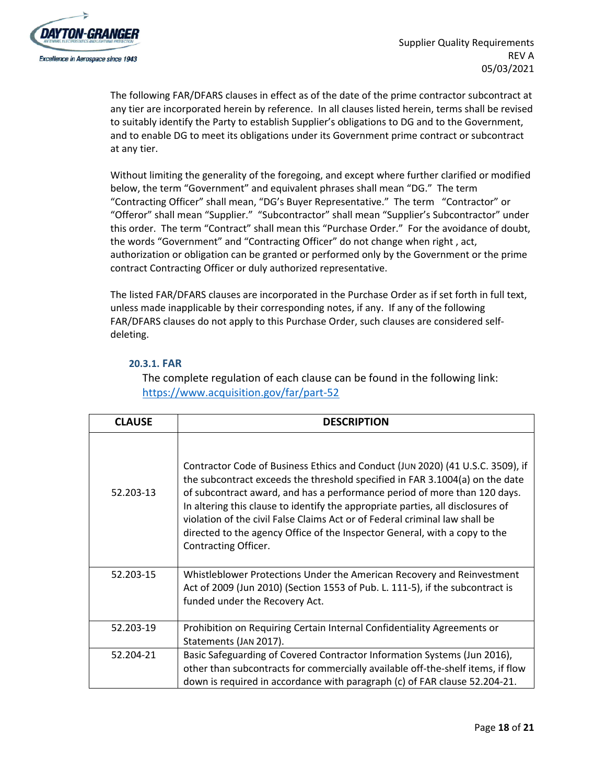

The following FAR/DFARS clauses in effect as of the date of the prime contractor subcontract at any tier are incorporated herein by reference. In all clauses listed herein, terms shall be revised to suitably identify the Party to establish Supplier's obligations to DG and to the Government, and to enable DG to meet its obligations under its Government prime contract or subcontract at any tier.

Without limiting the generality of the foregoing, and except where further clarified or modified below, the term "Government" and equivalent phrases shall mean "DG." The term "Contracting Officer" shall mean, "DG's Buyer Representative." The term "Contractor" or "Offeror" shall mean "Supplier." "Subcontractor" shall mean "Supplier's Subcontractor" under this order. The term "Contract" shall mean this "Purchase Order." For the avoidance of doubt, the words "Government" and "Contracting Officer" do not change when right , act, authorization or obligation can be granted or performed only by the Government or the prime contract Contracting Officer or duly authorized representative.

The listed FAR/DFARS clauses are incorporated in the Purchase Order as if set forth in full text, unless made inapplicable by their corresponding notes, if any. If any of the following FAR/DFARS clauses do not apply to this Purchase Order, such clauses are considered selfdeleting.

# **20.3.1. FAR**

The complete regulation of each clause can be found in the following link: <https://www.acquisition.gov/far/part-52>

| <b>CLAUSE</b> | <b>DESCRIPTION</b>                                                                                                                                                                                                                                                                                                                                                                                                                                                                                                  |
|---------------|---------------------------------------------------------------------------------------------------------------------------------------------------------------------------------------------------------------------------------------------------------------------------------------------------------------------------------------------------------------------------------------------------------------------------------------------------------------------------------------------------------------------|
| 52.203-13     | Contractor Code of Business Ethics and Conduct (JUN 2020) (41 U.S.C. 3509), if<br>the subcontract exceeds the threshold specified in FAR 3.1004(a) on the date<br>of subcontract award, and has a performance period of more than 120 days.<br>In altering this clause to identify the appropriate parties, all disclosures of<br>violation of the civil False Claims Act or of Federal criminal law shall be<br>directed to the agency Office of the Inspector General, with a copy to the<br>Contracting Officer. |
| 52.203-15     | Whistleblower Protections Under the American Recovery and Reinvestment<br>Act of 2009 (Jun 2010) (Section 1553 of Pub. L. 111-5), if the subcontract is<br>funded under the Recovery Act.                                                                                                                                                                                                                                                                                                                           |
| 52.203-19     | Prohibition on Requiring Certain Internal Confidentiality Agreements or<br>Statements (JAN 2017).                                                                                                                                                                                                                                                                                                                                                                                                                   |
| 52.204-21     | Basic Safeguarding of Covered Contractor Information Systems (Jun 2016),<br>other than subcontracts for commercially available off-the-shelf items, if flow<br>down is required in accordance with paragraph (c) of FAR clause 52.204-21.                                                                                                                                                                                                                                                                           |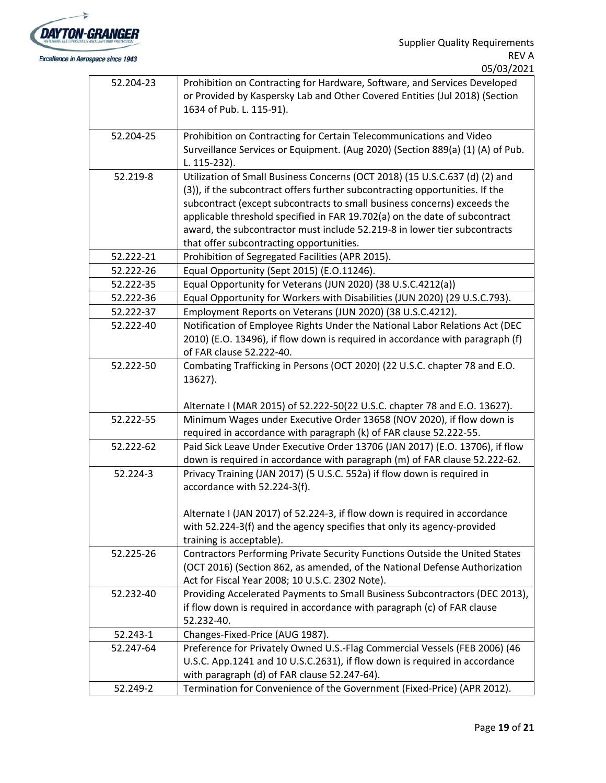

|           | <u>UJIUJI ZUZI</u>                                                                                                                                                                                                                                                                                                                                                                                                                             |
|-----------|------------------------------------------------------------------------------------------------------------------------------------------------------------------------------------------------------------------------------------------------------------------------------------------------------------------------------------------------------------------------------------------------------------------------------------------------|
| 52.204-23 | Prohibition on Contracting for Hardware, Software, and Services Developed<br>or Provided by Kaspersky Lab and Other Covered Entities (Jul 2018) (Section<br>1634 of Pub. L. 115-91).                                                                                                                                                                                                                                                           |
| 52.204-25 | Prohibition on Contracting for Certain Telecommunications and Video<br>Surveillance Services or Equipment. (Aug 2020) (Section 889(a) (1) (A) of Pub.<br>L. 115-232).                                                                                                                                                                                                                                                                          |
| 52.219-8  | Utilization of Small Business Concerns (OCT 2018) (15 U.S.C.637 (d) (2) and<br>(3)), if the subcontract offers further subcontracting opportunities. If the<br>subcontract (except subcontracts to small business concerns) exceeds the<br>applicable threshold specified in FAR 19.702(a) on the date of subcontract<br>award, the subcontractor must include 52.219-8 in lower tier subcontracts<br>that offer subcontracting opportunities. |
| 52.222-21 | Prohibition of Segregated Facilities (APR 2015).                                                                                                                                                                                                                                                                                                                                                                                               |
| 52.222-26 | Equal Opportunity (Sept 2015) (E.O.11246).                                                                                                                                                                                                                                                                                                                                                                                                     |
| 52.222-35 | Equal Opportunity for Veterans (JUN 2020) (38 U.S.C.4212(a))                                                                                                                                                                                                                                                                                                                                                                                   |
| 52.222-36 | Equal Opportunity for Workers with Disabilities (JUN 2020) (29 U.S.C.793).                                                                                                                                                                                                                                                                                                                                                                     |
| 52.222-37 | Employment Reports on Veterans (JUN 2020) (38 U.S.C.4212).                                                                                                                                                                                                                                                                                                                                                                                     |
| 52.222-40 | Notification of Employee Rights Under the National Labor Relations Act (DEC<br>2010) (E.O. 13496), if flow down is required in accordance with paragraph (f)<br>of FAR clause 52.222-40.                                                                                                                                                                                                                                                       |
| 52.222-50 | Combating Trafficking in Persons (OCT 2020) (22 U.S.C. chapter 78 and E.O.<br>13627).<br>Alternate I (MAR 2015) of 52.222-50(22 U.S.C. chapter 78 and E.O. 13627).                                                                                                                                                                                                                                                                             |
| 52.222-55 | Minimum Wages under Executive Order 13658 (NOV 2020), if flow down is<br>required in accordance with paragraph (k) of FAR clause 52.222-55.                                                                                                                                                                                                                                                                                                    |
| 52.222-62 | Paid Sick Leave Under Executive Order 13706 (JAN 2017) (E.O. 13706), if flow<br>down is required in accordance with paragraph (m) of FAR clause 52.222-62.                                                                                                                                                                                                                                                                                     |
| 52.224-3  | Privacy Training (JAN 2017) (5 U.S.C. 552a) if flow down is required in<br>accordance with 52.224-3(f).<br>Alternate I (JAN 2017) of 52.224-3, if flow down is required in accordance<br>with 52.224-3(f) and the agency specifies that only its agency-provided<br>training is acceptable).                                                                                                                                                   |
| 52.225-26 | Contractors Performing Private Security Functions Outside the United States<br>(OCT 2016) (Section 862, as amended, of the National Defense Authorization<br>Act for Fiscal Year 2008; 10 U.S.C. 2302 Note).                                                                                                                                                                                                                                   |
| 52.232-40 | Providing Accelerated Payments to Small Business Subcontractors (DEC 2013),<br>if flow down is required in accordance with paragraph (c) of FAR clause<br>52.232-40.                                                                                                                                                                                                                                                                           |
| 52.243-1  | Changes-Fixed-Price (AUG 1987).                                                                                                                                                                                                                                                                                                                                                                                                                |
| 52.247-64 | Preference for Privately Owned U.S.-Flag Commercial Vessels (FEB 2006) (46<br>U.S.C. App.1241 and 10 U.S.C.2631), if flow down is required in accordance<br>with paragraph (d) of FAR clause 52.247-64).                                                                                                                                                                                                                                       |
| 52.249-2  | Termination for Convenience of the Government (Fixed-Price) (APR 2012).                                                                                                                                                                                                                                                                                                                                                                        |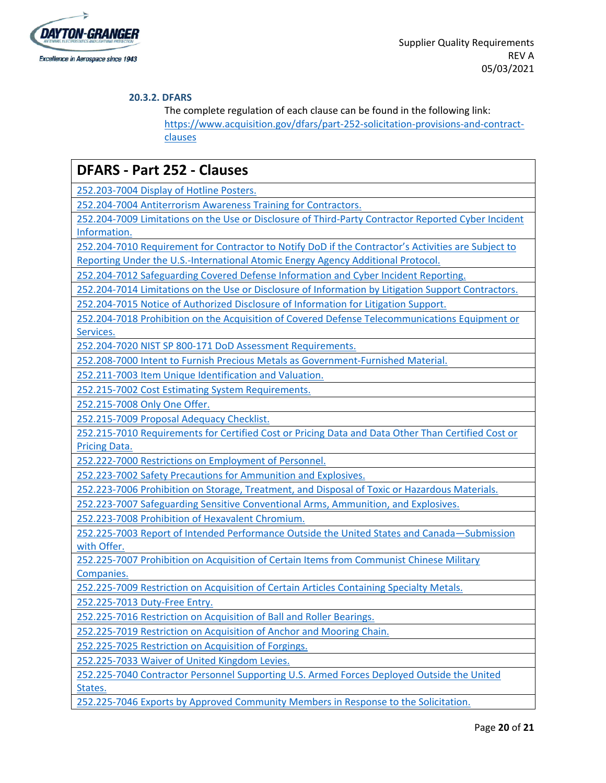

# **20.3.2. DFARS**

The complete regulation of each clause can be found in the following link: [https://www.acquisition.gov/dfars/part-252-solicitation-provisions-and-contract](https://www.acquisition.gov/dfars/part-252-solicitation-provisions-and-contract-clauses)[clauses](https://www.acquisition.gov/dfars/part-252-solicitation-provisions-and-contract-clauses)

| <b>DFARS - Part 252 - Clauses</b>                                                                   |  |  |  |  |
|-----------------------------------------------------------------------------------------------------|--|--|--|--|
| 252.203-7004 Display of Hotline Posters.                                                            |  |  |  |  |
| 252.204-7004 Antiterrorism Awareness Training for Contractors.                                      |  |  |  |  |
| 252.204-7009 Limitations on the Use or Disclosure of Third-Party Contractor Reported Cyber Incident |  |  |  |  |
| Information.                                                                                        |  |  |  |  |
| 252.204-7010 Requirement for Contractor to Notify DoD if the Contractor's Activities are Subject to |  |  |  |  |
| Reporting Under the U.S.-International Atomic Energy Agency Additional Protocol.                    |  |  |  |  |
| 252.204-7012 Safeguarding Covered Defense Information and Cyber Incident Reporting.                 |  |  |  |  |
| 252.204-7014 Limitations on the Use or Disclosure of Information by Litigation Support Contractors. |  |  |  |  |
| 252.204-7015 Notice of Authorized Disclosure of Information for Litigation Support.                 |  |  |  |  |
| 252.204-7018 Prohibition on the Acquisition of Covered Defense Telecommunications Equipment or      |  |  |  |  |
| Services.                                                                                           |  |  |  |  |
| 252.204-7020 NIST SP 800-171 DoD Assessment Requirements.                                           |  |  |  |  |
| 252.208-7000 Intent to Furnish Precious Metals as Government-Furnished Material.                    |  |  |  |  |
| 252.211-7003 Item Unique Identification and Valuation.                                              |  |  |  |  |
| 252.215-7002 Cost Estimating System Requirements.                                                   |  |  |  |  |
| 252.215-7008 Only One Offer.                                                                        |  |  |  |  |
| 252.215-7009 Proposal Adequacy Checklist.                                                           |  |  |  |  |
| 252.215-7010 Requirements for Certified Cost or Pricing Data and Data Other Than Certified Cost or  |  |  |  |  |
| <b>Pricing Data.</b>                                                                                |  |  |  |  |
| 252.222-7000 Restrictions on Employment of Personnel.                                               |  |  |  |  |
| 252.223-7002 Safety Precautions for Ammunition and Explosives.                                      |  |  |  |  |
| 252.223-7006 Prohibition on Storage, Treatment, and Disposal of Toxic or Hazardous Materials.       |  |  |  |  |
| 252.223-7007 Safeguarding Sensitive Conventional Arms, Ammunition, and Explosives.                  |  |  |  |  |
| 252.223-7008 Prohibition of Hexavalent Chromium.                                                    |  |  |  |  |
| 252.225-7003 Report of Intended Performance Outside the United States and Canada-Submission         |  |  |  |  |
| with Offer.                                                                                         |  |  |  |  |
| 252.225-7007 Prohibition on Acquisition of Certain Items from Communist Chinese Military            |  |  |  |  |
| Companies.                                                                                          |  |  |  |  |
| 252.225-7009 Restriction on Acquisition of Certain Articles Containing Specialty Metals.            |  |  |  |  |
| 252.225-7013 Duty-Free Entry.                                                                       |  |  |  |  |
| 252.225-7016 Restriction on Acquisition of Ball and Roller Bearings.                                |  |  |  |  |
| 252.225-7019 Restriction on Acquisition of Anchor and Mooring Chain.                                |  |  |  |  |
| 252.225-7025 Restriction on Acquisition of Forgings.                                                |  |  |  |  |
| 252.225-7033 Waiver of United Kingdom Levies.                                                       |  |  |  |  |
| 252.225-7040 Contractor Personnel Supporting U.S. Armed Forces Deployed Outside the United          |  |  |  |  |
| States.                                                                                             |  |  |  |  |
| 252.225-7046 Exports by Approved Community Members in Response to the Solicitation.                 |  |  |  |  |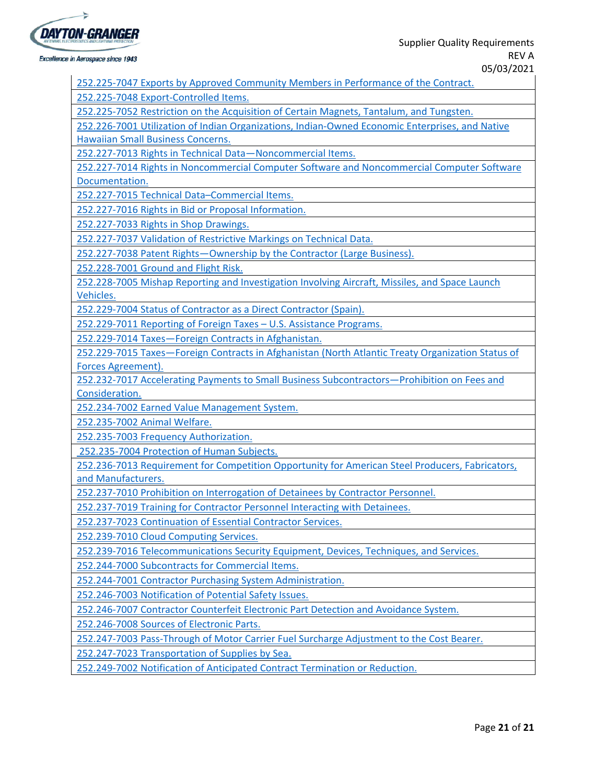

Excellence in Aerospace since 1943

[252.225-7047](https://www.acquisition.gov/dfars/part-252-clauses#DFARS-252.225-7047) Exports by Approved Community Members in Performance of the Contract.

252.225-7048 [Export-Controlled](https://www.acquisition.gov/dfars/part-252-clauses#DFARS-252.225-7048) Items.

[252.225-7052](https://www.acquisition.gov/dfars/part-252-clauses#DFARS-252.225-7052) Restriction on the Acquisition of Certain Magnets, Tantalum, and Tungsten.

252.226-7001 Utilization of Indian [Organizations,](https://www.acquisition.gov/dfars/part-252-clauses#DFARS-252.226-7001) Indian-Owned Economic Enterprises, and Native Hawaiian Small Business [Concerns.](https://www.acquisition.gov/dfars/part-252-clauses#DFARS-252.226-7001)

252.227-7013 Rights in Technical [Data—Noncommercial](https://www.acquisition.gov/dfars/part-252-clauses#DFARS-252.227-7013) Items.

252.227-7014 Rights in [Noncommercial](https://www.acquisition.gov/dfars/part-252-clauses#DFARS-252.227-7014) Computer Software and Noncommercial Computer Software [Documentation.](https://www.acquisition.gov/dfars/part-252-clauses#DFARS-252.227-7014)

252.227-7015 Technical [Data–Commercial](https://www.acquisition.gov/dfars/part-252-clauses#DFARS-252.227-7015) Items.

[252.227-7016](https://www.acquisition.gov/dfars/part-252-clauses#DFARS-252.227-7016) Rights in Bid or Proposal Information.

[252.227-7033](https://www.acquisition.gov/dfars/part-252-clauses#DFARS-252.227-7033) Rights in Shop Drawings.

[252.227-7037](https://www.acquisition.gov/dfars/part-252-clauses#DFARS-252.227-7037) Validation of Restrictive Markings on Technical Data.

252.227-7038 Patent [Rights—Ownership](https://www.acquisition.gov/dfars/part-252-clauses#DFARS-252.227-7038) by the Contractor (Large Business).

[252.228-7001](https://www.acquisition.gov/dfars/part-252-clauses#DFARS-252.228-7001) Ground and Flight Risk.

[252.228-7005](https://www.acquisition.gov/dfars/part-252-clauses#DFARS-252.228-7005) Mishap Reporting and Investigation Involving Aircraft, Missiles, and Space Launch [Vehicles.](https://www.acquisition.gov/dfars/part-252-clauses#DFARS-252.228-7005)

[252.229-7004](https://www.acquisition.gov/dfars/part-252-clauses#DFARS-252.229-7004) Status of Contractor as a Direct Contractor (Spain).

[252.229-7011](https://www.acquisition.gov/dfars/part-252-clauses#DFARS-252.229-7011) Reporting of Foreign Taxes – U.S. Assistance Programs.

252.229-7014 [Taxes—Foreign](https://www.acquisition.gov/dfars/part-252-clauses#DFARS-252.229-7014) Contracts in Afghanistan.

252.229-7015 [Taxes—Foreign](https://www.acquisition.gov/dfars/part-252-clauses#DFARS-252.229-7015) Contracts in Afghanistan (North Atlantic Treaty Organization Status of Forces [Agreement\).](https://www.acquisition.gov/dfars/part-252-clauses#DFARS-252.229-7015)

252.232-7017 Accelerating Payments to Small Business [Subcontractors—Prohibition](https://www.acquisition.gov/dfars/part-252-clauses#DFARS-252.232-7017) on Fees and [Consideration.](https://www.acquisition.gov/dfars/part-252-clauses#DFARS-252.232-7017)

[252.234-7002](https://www.acquisition.gov/dfars/part-252-clauses#DFARS-252.234-7002) Earned Value Management System.

[252.235-7002](https://www.acquisition.gov/dfars/part-252-clauses#DFARS-252.235-7002) Animal Welfare.

252.235-7003 Frequency [Authorization.](https://www.acquisition.gov/dfars/part-252-clauses#DFARS-252.235-7003)

[252.235-7004](https://www.acquisition.gov/dfars/part-252-clauses#DFARS-252.235-7004) Protection of Human Subjects.

[252.236-7013](https://www.acquisition.gov/dfars/part-252-clauses#DFARS-252.236-7013) Requirement for Competition Opportunity for American Steel Producers, Fabricators, and [Manufacturers.](https://www.acquisition.gov/dfars/part-252-clauses#DFARS-252.236-7013)

[252.237-7010](https://www.acquisition.gov/dfars/part-252-clauses#DFARS-252.237-7010) Prohibition on Interrogation of Detainees by Contractor Personnel.

[252.237-7019](https://www.acquisition.gov/dfars/part-252-clauses#DFARS-252.237-7019) Training for Contractor Personnel Interacting with Detainees.

[252.237-7023](https://www.acquisition.gov/dfars/part-252-clauses#DFARS-252.237-7023) Continuation of Essential Contractor Services.

[252.239-7010](https://www.acquisition.gov/dfars/part-252-clauses#DFARS-252.239-7010) Cloud Computing Services.

252.239-7016 [Telecommunications](https://www.acquisition.gov/dfars/part-252-clauses#DFARS-252.239-7016) Security Equipment, Devices, Techniques, and Services.

[252.244-7000](https://www.acquisition.gov/dfars/part-252-clauses#DFARS-252.244-7000) Subcontracts for Commercial Items.

252.244-7001 Contractor Purchasing System [Administration.](https://www.acquisition.gov/dfars/part-252-clauses#DFARS-252.244-7001)

[252.246-7003](https://www.acquisition.gov/dfars/part-252-clauses#DFARS-252.246-7003) Notification of Potential Safety Issues.

[252.246-7007](https://www.acquisition.gov/dfars/part-252-clauses#DFARS-252.246-7007) Contractor Counterfeit Electronic Part Detection and Avoidance System.

[252.246-7008](https://www.acquisition.gov/dfars/part-252-clauses#DFARS-252.246-7008) Sources of Electronic Parts.

[252.247-7003](https://www.acquisition.gov/dfars/part-252-clauses#DFARS-252.247-7003) Pass-Through of Motor Carrier Fuel Surcharge Adjustment to the Cost Bearer.

252.247-7023 [Transportation](https://www.acquisition.gov/dfars/part-252-clauses#DFARS-252.247-7023) of Supplies by Sea.

[252.249-7002](https://www.acquisition.gov/dfars/part-252-clauses#DFARS-252.249-7002) Notification of Anticipated Contract Termination or Reduction.